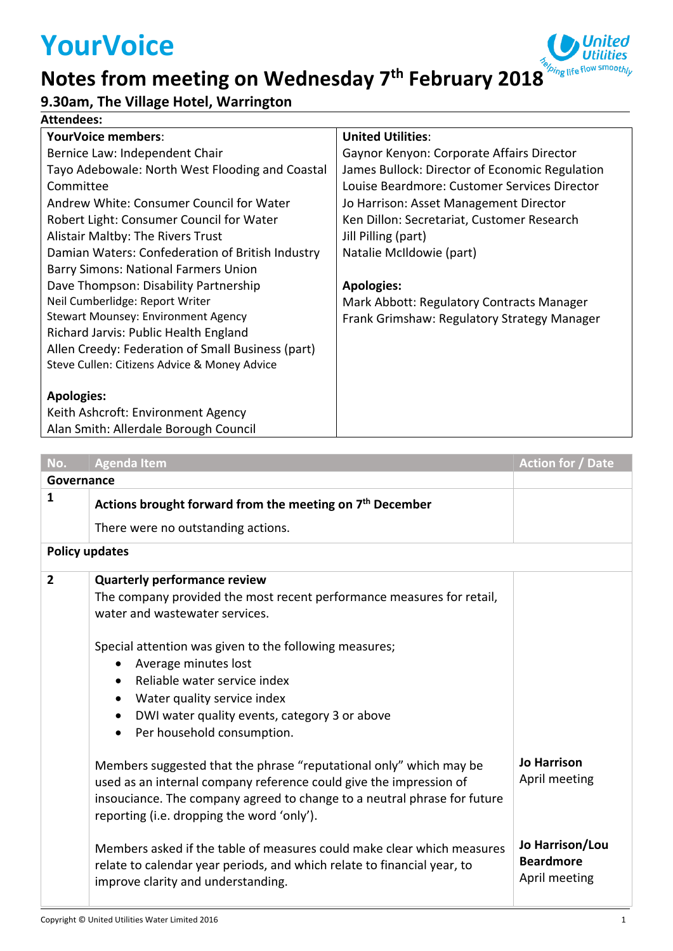# **YourVoice**

#### bing life flow <sup>smooth</sup>ly **Notes from meeting on Wednesday 7th February 2018**

### **9.30am, The Village Hotel, Warrington**

#### **Attendees:**

| <b>YourVoice members:</b>                         | <b>United Utilities:</b>                       |
|---------------------------------------------------|------------------------------------------------|
| Bernice Law: Independent Chair                    | Gaynor Kenyon: Corporate Affairs Director      |
| Tayo Adebowale: North West Flooding and Coastal   | James Bullock: Director of Economic Regulation |
| Committee                                         | Louise Beardmore: Customer Services Director   |
| Andrew White: Consumer Council for Water          | Jo Harrison: Asset Management Director         |
| Robert Light: Consumer Council for Water          | Ken Dillon: Secretariat, Customer Research     |
| Alistair Maltby: The Rivers Trust                 | Jill Pilling (part)                            |
| Damian Waters: Confederation of British Industry  | Natalie McIldowie (part)                       |
| <b>Barry Simons: National Farmers Union</b>       |                                                |
| Dave Thompson: Disability Partnership             | <b>Apologies:</b>                              |
| Neil Cumberlidge: Report Writer                   | Mark Abbott: Regulatory Contracts Manager      |
| <b>Stewart Mounsey: Environment Agency</b>        | Frank Grimshaw: Regulatory Strategy Manager    |
| Richard Jarvis: Public Health England             |                                                |
| Allen Creedy: Federation of Small Business (part) |                                                |
| Steve Cullen: Citizens Advice & Money Advice      |                                                |
|                                                   |                                                |
| <b>Apologies:</b>                                 |                                                |
| Keith Ashcroft: Environment Agency                |                                                |

Alan Smith: Allerdale Borough Council

| No.                   | <b>Agenda Item</b>                                                                                                                                                                                                                                                 | <b>Action for / Date</b>                             |  |
|-----------------------|--------------------------------------------------------------------------------------------------------------------------------------------------------------------------------------------------------------------------------------------------------------------|------------------------------------------------------|--|
|                       | Governance                                                                                                                                                                                                                                                         |                                                      |  |
| 1                     | Actions brought forward from the meeting on 7 <sup>th</sup> December                                                                                                                                                                                               |                                                      |  |
|                       | There were no outstanding actions.                                                                                                                                                                                                                                 |                                                      |  |
| <b>Policy updates</b> |                                                                                                                                                                                                                                                                    |                                                      |  |
| $\overline{2}$        | <b>Quarterly performance review</b><br>The company provided the most recent performance measures for retail,<br>water and wastewater services.                                                                                                                     |                                                      |  |
|                       | Special attention was given to the following measures;<br>Average minutes lost<br>$\bullet$<br>Reliable water service index<br>Water quality service index<br>DWI water quality events, category 3 or above<br>Per household consumption.<br>$\bullet$             |                                                      |  |
|                       | Members suggested that the phrase "reputational only" which may be<br>used as an internal company reference could give the impression of<br>insouciance. The company agreed to change to a neutral phrase for future<br>reporting (i.e. dropping the word 'only'). | <b>Jo Harrison</b><br>April meeting                  |  |
|                       | Members asked if the table of measures could make clear which measures<br>relate to calendar year periods, and which relate to financial year, to<br>improve clarity and understanding.                                                                            | Jo Harrison/Lou<br><b>Beardmore</b><br>April meeting |  |

ed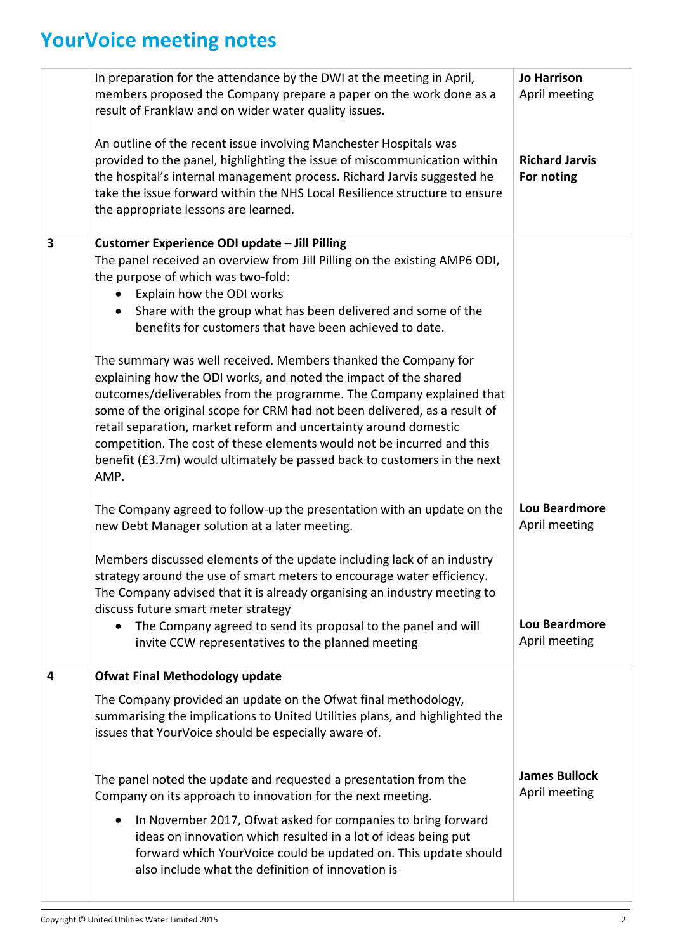## **YourVoice meeting notes**

|   | In preparation for the attendance by the DWI at the meeting in April,<br>members proposed the Company prepare a paper on the work done as a<br>result of Franklaw and on wider water quality issues.<br>An outline of the recent issue involving Manchester Hospitals was<br>provided to the panel, highlighting the issue of miscommunication within<br>the hospital's internal management process. Richard Jarvis suggested he<br>take the issue forward within the NHS Local Resilience structure to ensure<br>the appropriate lessons are learned.                                                                                                                                                                                                                                                                                                              | <b>Jo Harrison</b><br>April meeting<br><b>Richard Jarvis</b><br>For noting     |
|---|---------------------------------------------------------------------------------------------------------------------------------------------------------------------------------------------------------------------------------------------------------------------------------------------------------------------------------------------------------------------------------------------------------------------------------------------------------------------------------------------------------------------------------------------------------------------------------------------------------------------------------------------------------------------------------------------------------------------------------------------------------------------------------------------------------------------------------------------------------------------|--------------------------------------------------------------------------------|
| 3 | Customer Experience ODI update - Jill Pilling<br>The panel received an overview from Jill Pilling on the existing AMP6 ODI,<br>the purpose of which was two-fold:<br>Explain how the ODI works<br>$\bullet$<br>Share with the group what has been delivered and some of the<br>benefits for customers that have been achieved to date.<br>The summary was well received. Members thanked the Company for<br>explaining how the ODI works, and noted the impact of the shared<br>outcomes/deliverables from the programme. The Company explained that<br>some of the original scope for CRM had not been delivered, as a result of<br>retail separation, market reform and uncertainty around domestic<br>competition. The cost of these elements would not be incurred and this<br>benefit (£3.7m) would ultimately be passed back to customers in the next<br>AMP. |                                                                                |
|   | The Company agreed to follow-up the presentation with an update on the<br>new Debt Manager solution at a later meeting.<br>Members discussed elements of the update including lack of an industry<br>strategy around the use of smart meters to encourage water efficiency.<br>The Company advised that it is already organising an industry meeting to<br>discuss future smart meter strategy<br>The Company agreed to send its proposal to the panel and will<br>$\bullet$<br>invite CCW representatives to the planned meeting                                                                                                                                                                                                                                                                                                                                   | <b>Lou Beardmore</b><br>April meeting<br><b>Lou Beardmore</b><br>April meeting |
| 4 | <b>Ofwat Final Methodology update</b><br>The Company provided an update on the Ofwat final methodology,<br>summarising the implications to United Utilities plans, and highlighted the<br>issues that YourVoice should be especially aware of.<br>The panel noted the update and requested a presentation from the<br>Company on its approach to innovation for the next meeting.<br>In November 2017, Ofwat asked for companies to bring forward<br>ideas on innovation which resulted in a lot of ideas being put<br>forward which YourVoice could be updated on. This update should<br>also include what the definition of innovation is                                                                                                                                                                                                                         | <b>James Bullock</b><br>April meeting                                          |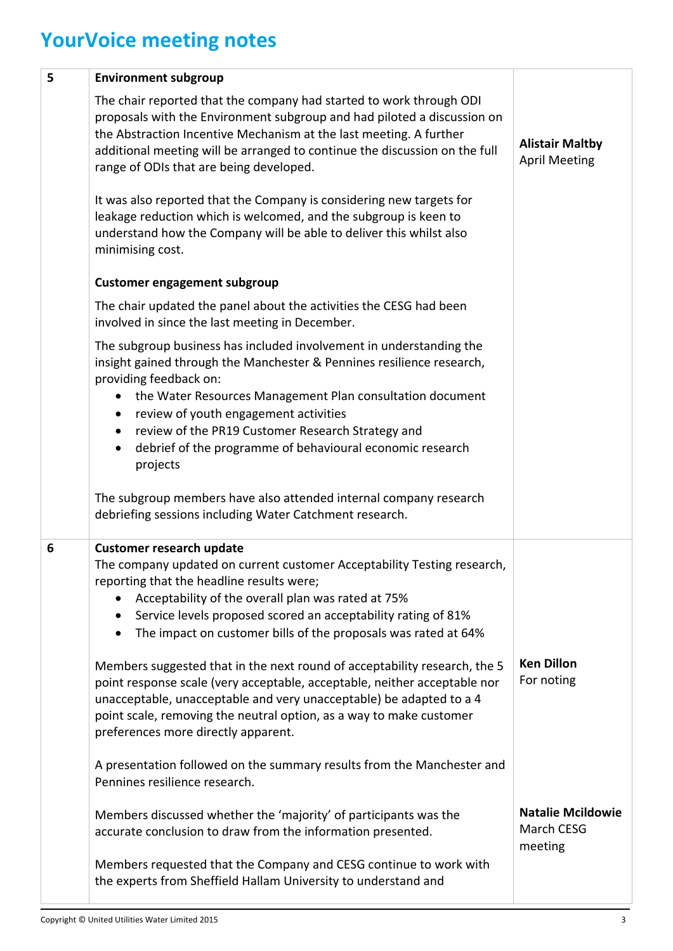## **YourVoice meeting notes**

| 5 | <b>Environment subgroup</b>                                                                                                                                                                                                                                                                                                                   |                                                   |
|---|-----------------------------------------------------------------------------------------------------------------------------------------------------------------------------------------------------------------------------------------------------------------------------------------------------------------------------------------------|---------------------------------------------------|
|   | The chair reported that the company had started to work through ODI<br>proposals with the Environment subgroup and had piloted a discussion on<br>the Abstraction Incentive Mechanism at the last meeting. A further<br>additional meeting will be arranged to continue the discussion on the full<br>range of ODIs that are being developed. | <b>Alistair Maltby</b><br><b>April Meeting</b>    |
|   | It was also reported that the Company is considering new targets for<br>leakage reduction which is welcomed, and the subgroup is keen to<br>understand how the Company will be able to deliver this whilst also<br>minimising cost.                                                                                                           |                                                   |
|   | <b>Customer engagement subgroup</b>                                                                                                                                                                                                                                                                                                           |                                                   |
|   | The chair updated the panel about the activities the CESG had been<br>involved in since the last meeting in December.                                                                                                                                                                                                                         |                                                   |
|   | The subgroup business has included involvement in understanding the<br>insight gained through the Manchester & Pennines resilience research,<br>providing feedback on:                                                                                                                                                                        |                                                   |
|   | the Water Resources Management Plan consultation document<br>review of youth engagement activities<br>$\bullet$                                                                                                                                                                                                                               |                                                   |
|   | review of the PR19 Customer Research Strategy and                                                                                                                                                                                                                                                                                             |                                                   |
|   | debrief of the programme of behavioural economic research<br>$\bullet$<br>projects                                                                                                                                                                                                                                                            |                                                   |
|   | The subgroup members have also attended internal company research<br>debriefing sessions including Water Catchment research.                                                                                                                                                                                                                  |                                                   |
| 6 | <b>Customer research update</b><br>The company updated on current customer Acceptability Testing research,                                                                                                                                                                                                                                    |                                                   |
|   | reporting that the headline results were;                                                                                                                                                                                                                                                                                                     |                                                   |
|   | Acceptability of the overall plan was rated at 75%<br>Service levels proposed scored an acceptability rating of 81%                                                                                                                                                                                                                           |                                                   |
|   | The impact on customer bills of the proposals was rated at 64%                                                                                                                                                                                                                                                                                |                                                   |
|   | Members suggested that in the next round of acceptability research, the 5<br>point response scale (very acceptable, acceptable, neither acceptable nor<br>unacceptable, unacceptable and very unacceptable) be adapted to a 4<br>point scale, removing the neutral option, as a way to make customer<br>preferences more directly apparent.   | <b>Ken Dillon</b><br>For noting                   |
|   | A presentation followed on the summary results from the Manchester and<br>Pennines resilience research.                                                                                                                                                                                                                                       |                                                   |
|   | Members discussed whether the 'majority' of participants was the<br>accurate conclusion to draw from the information presented.                                                                                                                                                                                                               | <b>Natalie Mcildowie</b><br>March CESG<br>meeting |
|   | Members requested that the Company and CESG continue to work with<br>the experts from Sheffield Hallam University to understand and                                                                                                                                                                                                           |                                                   |